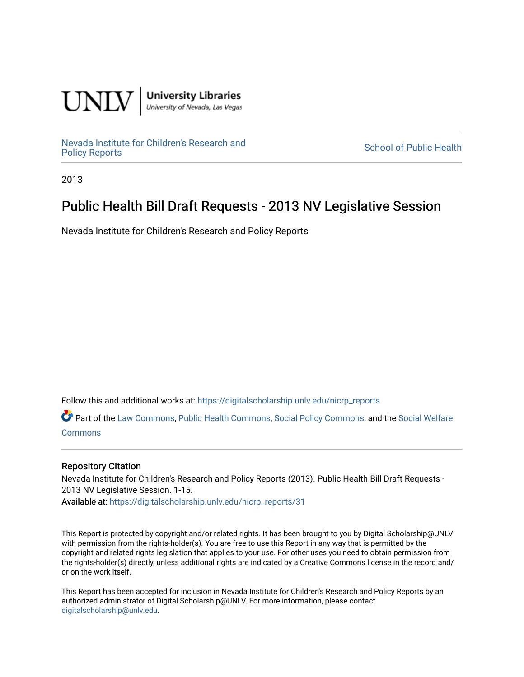

**University Libraries**<br>University of Nevada, Las Vegas

[Nevada Institute for Children's Research and](https://digitalscholarship.unlv.edu/nicrp_reports)

**School of Public Health** 

2013

## Public Health Bill Draft Requests - 2013 NV Legislative Session

Nevada Institute for Children's Research and Policy Reports

Follow this and additional works at: [https://digitalscholarship.unlv.edu/nicrp\\_reports](https://digitalscholarship.unlv.edu/nicrp_reports?utm_source=digitalscholarship.unlv.edu%2Fnicrp_reports%2F31&utm_medium=PDF&utm_campaign=PDFCoverPages)

Part of the [Law Commons](http://network.bepress.com/hgg/discipline/578?utm_source=digitalscholarship.unlv.edu%2Fnicrp_reports%2F31&utm_medium=PDF&utm_campaign=PDFCoverPages), [Public Health Commons](http://network.bepress.com/hgg/discipline/738?utm_source=digitalscholarship.unlv.edu%2Fnicrp_reports%2F31&utm_medium=PDF&utm_campaign=PDFCoverPages), [Social Policy Commons,](http://network.bepress.com/hgg/discipline/1030?utm_source=digitalscholarship.unlv.edu%2Fnicrp_reports%2F31&utm_medium=PDF&utm_campaign=PDFCoverPages) and the [Social Welfare](http://network.bepress.com/hgg/discipline/401?utm_source=digitalscholarship.unlv.edu%2Fnicrp_reports%2F31&utm_medium=PDF&utm_campaign=PDFCoverPages) **[Commons](http://network.bepress.com/hgg/discipline/401?utm_source=digitalscholarship.unlv.edu%2Fnicrp_reports%2F31&utm_medium=PDF&utm_campaign=PDFCoverPages)** 

## Repository Citation

Nevada Institute for Children's Research and Policy Reports (2013). Public Health Bill Draft Requests - 2013 NV Legislative Session. 1-15. Available at: [https://digitalscholarship.unlv.edu/nicrp\\_reports/31](https://digitalscholarship.unlv.edu/nicrp_reports/31) 

This Report is protected by copyright and/or related rights. It has been brought to you by Digital Scholarship@UNLV with permission from the rights-holder(s). You are free to use this Report in any way that is permitted by the copyright and related rights legislation that applies to your use. For other uses you need to obtain permission from the rights-holder(s) directly, unless additional rights are indicated by a Creative Commons license in the record and/ or on the work itself.

This Report has been accepted for inclusion in Nevada Institute for Children's Research and Policy Reports by an authorized administrator of Digital Scholarship@UNLV. For more information, please contact [digitalscholarship@unlv.edu](mailto:digitalscholarship@unlv.edu).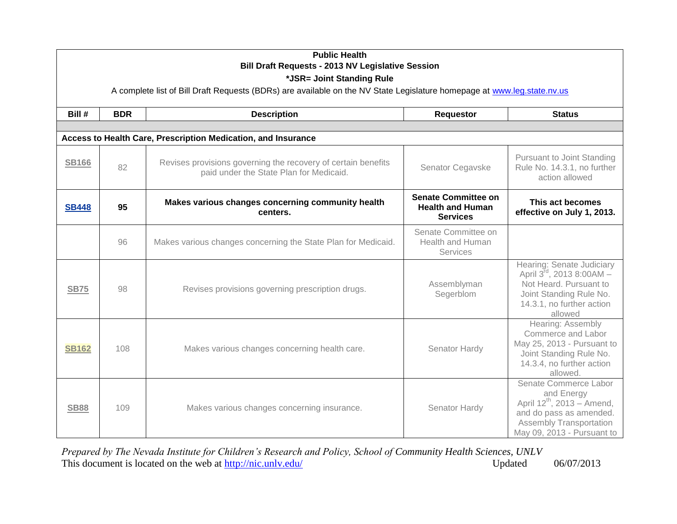| <b>Public Health</b><br><b>Bill Draft Requests - 2013 NV Legislative Session</b><br>*JSR= Joint Standing Rule<br>A complete list of Bill Draft Requests (BDRs) are available on the NV State Legislature homepage at www.leg.state.nv.us |            |                                                                                                          |                                                                          |                                                                                                                                                                          |
|------------------------------------------------------------------------------------------------------------------------------------------------------------------------------------------------------------------------------------------|------------|----------------------------------------------------------------------------------------------------------|--------------------------------------------------------------------------|--------------------------------------------------------------------------------------------------------------------------------------------------------------------------|
| Bill #                                                                                                                                                                                                                                   | <b>BDR</b> | <b>Description</b>                                                                                       | Requestor                                                                | <b>Status</b>                                                                                                                                                            |
|                                                                                                                                                                                                                                          |            |                                                                                                          |                                                                          |                                                                                                                                                                          |
|                                                                                                                                                                                                                                          |            | Access to Health Care, Prescription Medication, and Insurance                                            |                                                                          |                                                                                                                                                                          |
| <b>SB166</b>                                                                                                                                                                                                                             | 82         | Revises provisions governing the recovery of certain benefits<br>paid under the State Plan for Medicaid. | Senator Cegavske                                                         | <b>Pursuant to Joint Standing</b><br>Rule No. 14.3.1, no further<br>action allowed                                                                                       |
| <b>SB448</b>                                                                                                                                                                                                                             | 95         | Makes various changes concerning community health<br>centers.                                            | <b>Senate Committee on</b><br><b>Health and Human</b><br><b>Services</b> | This act becomes<br>effective on July 1, 2013.                                                                                                                           |
|                                                                                                                                                                                                                                          | 96         | Makes various changes concerning the State Plan for Medicaid.                                            | Senate Committee on<br>Health and Human<br>Services                      |                                                                                                                                                                          |
| <b>SB75</b>                                                                                                                                                                                                                              | 98         | Revises provisions governing prescription drugs.                                                         | Assemblyman<br>Segerblom                                                 | Hearing: Senate Judiciary<br>April 3rd, 2013 8:00AM -<br>Not Heard. Pursuant to<br>Joint Standing Rule No.<br>14.3.1, no further action<br>allowed                       |
| <b>SB162</b>                                                                                                                                                                                                                             | 108        | Makes various changes concerning health care.                                                            | Senator Hardy                                                            | Hearing: Assembly<br>Commerce and Labor<br>May 25, 2013 - Pursuant to<br>Joint Standing Rule No.<br>14.3.4, no further action<br>allowed.                                |
| <b>SB88</b>                                                                                                                                                                                                                              | 109        | Makes various changes concerning insurance.                                                              | Senator Hardy                                                            | Senate Commerce Labor<br>and Energy<br>April 12 <sup>th</sup> , 2013 - Amend,<br>and do pass as amended.<br><b>Assembly Transportation</b><br>May 09, 2013 - Pursuant to |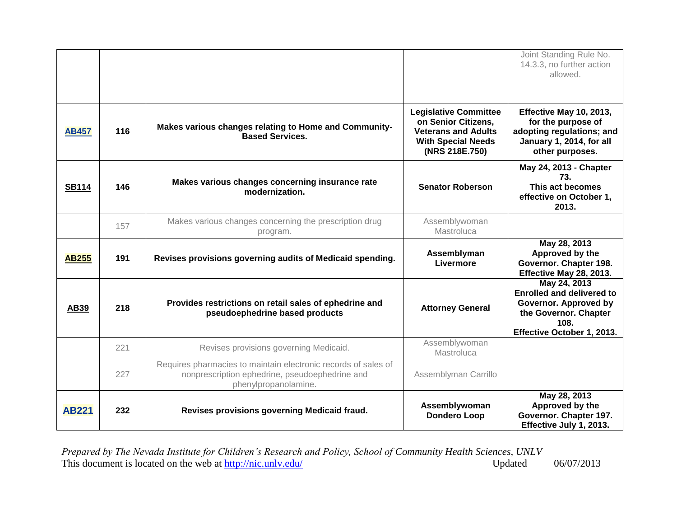|              |     |                                                                                                                                          |                                                                                                                                  | Joint Standing Rule No.<br>14.3.3, no further action<br>allowed.                                                                         |
|--------------|-----|------------------------------------------------------------------------------------------------------------------------------------------|----------------------------------------------------------------------------------------------------------------------------------|------------------------------------------------------------------------------------------------------------------------------------------|
| <b>AB457</b> | 116 | Makes various changes relating to Home and Community-<br><b>Based Services.</b>                                                          | <b>Legislative Committee</b><br>on Senior Citizens,<br><b>Veterans and Adults</b><br><b>With Special Needs</b><br>(NRS 218E.750) | Effective May 10, 2013,<br>for the purpose of<br>adopting regulations; and<br>January 1, 2014, for all<br>other purposes.                |
| <b>SB114</b> | 146 | Makes various changes concerning insurance rate<br>modernization.                                                                        | <b>Senator Roberson</b>                                                                                                          | May 24, 2013 - Chapter<br>73.<br>This act becomes<br>effective on October 1,<br>2013.                                                    |
|              | 157 | Makes various changes concerning the prescription drug<br>program.                                                                       | Assemblywoman<br>Mastroluca                                                                                                      |                                                                                                                                          |
| <b>AB255</b> | 191 | Revises provisions governing audits of Medicaid spending.                                                                                | Assemblyman<br>Livermore                                                                                                         | May 28, 2013<br>Approved by the<br>Governor. Chapter 198.<br>Effective May 28, 2013.                                                     |
| <b>AB39</b>  | 218 | Provides restrictions on retail sales of ephedrine and<br>pseudoephedrine based products                                                 | <b>Attorney General</b>                                                                                                          | May 24, 2013<br><b>Enrolled and delivered to</b><br>Governor. Approved by<br>the Governor. Chapter<br>108.<br>Effective October 1, 2013. |
|              | 221 | Revises provisions governing Medicaid.                                                                                                   | Assemblywoman<br>Mastroluca                                                                                                      |                                                                                                                                          |
|              | 227 | Requires pharmacies to maintain electronic records of sales of<br>nonprescription ephedrine, pseudoephedrine and<br>phenylpropanolamine. | Assemblyman Carrillo                                                                                                             |                                                                                                                                          |
| <b>AB221</b> | 232 | Revises provisions governing Medicaid fraud.                                                                                             | Assemblywoman<br><b>Dondero Loop</b>                                                                                             | May 28, 2013<br>Approved by the<br>Governor. Chapter 197.<br>Effective July 1, 2013.                                                     |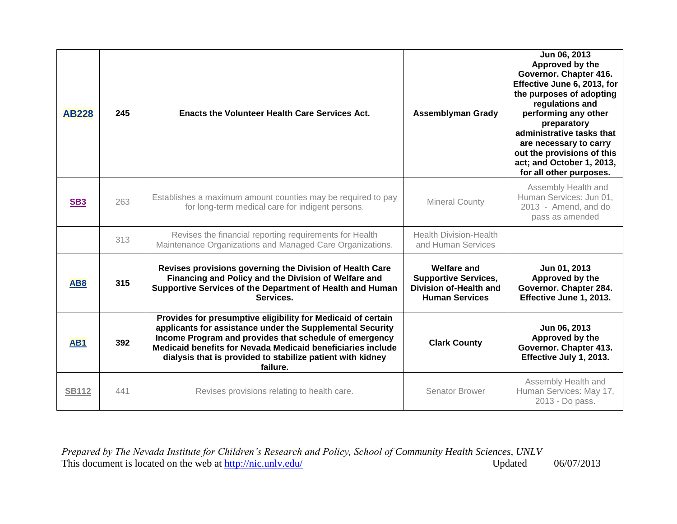| <b>AB228</b>    | 245 | <b>Enacts the Volunteer Health Care Services Act.</b>                                                                                                                                                                                                                                                                        | <b>Assemblyman Grady</b>                                                                             | Jun 06, 2013<br>Approved by the<br>Governor. Chapter 416.<br>Effective June 6, 2013, for<br>the purposes of adopting<br>regulations and<br>performing any other<br>preparatory<br>administrative tasks that<br>are necessary to carry<br>out the provisions of this<br>act; and October 1, 2013,<br>for all other purposes. |
|-----------------|-----|------------------------------------------------------------------------------------------------------------------------------------------------------------------------------------------------------------------------------------------------------------------------------------------------------------------------------|------------------------------------------------------------------------------------------------------|-----------------------------------------------------------------------------------------------------------------------------------------------------------------------------------------------------------------------------------------------------------------------------------------------------------------------------|
| SB <sub>3</sub> | 263 | Establishes a maximum amount counties may be required to pay<br>for long-term medical care for indigent persons.                                                                                                                                                                                                             | <b>Mineral County</b>                                                                                | Assembly Health and<br>Human Services: Jun 01,<br>2013 - Amend, and do<br>pass as amended                                                                                                                                                                                                                                   |
|                 | 313 | Revises the financial reporting requirements for Health<br>Maintenance Organizations and Managed Care Organizations.                                                                                                                                                                                                         | <b>Health Division-Health</b><br>and Human Services                                                  |                                                                                                                                                                                                                                                                                                                             |
| AB <sub>8</sub> | 315 | Revises provisions governing the Division of Health Care<br>Financing and Policy and the Division of Welfare and<br>Supportive Services of the Department of Health and Human<br>Services.                                                                                                                                   | <b>Welfare and</b><br><b>Supportive Services,</b><br>Division of-Health and<br><b>Human Services</b> | Jun 01, 2013<br>Approved by the<br>Governor. Chapter 284.<br>Effective June 1, 2013.                                                                                                                                                                                                                                        |
| AB <sub>1</sub> | 392 | Provides for presumptive eligibility for Medicaid of certain<br>applicants for assistance under the Supplemental Security<br>Income Program and provides that schedule of emergency<br>Medicaid benefits for Nevada Medicaid beneficiaries include<br>dialysis that is provided to stabilize patient with kidney<br>failure. | <b>Clark County</b>                                                                                  | Jun 06, 2013<br>Approved by the<br>Governor. Chapter 413.<br>Effective July 1, 2013.                                                                                                                                                                                                                                        |
| <b>SB112</b>    | 441 | Revises provisions relating to health care.                                                                                                                                                                                                                                                                                  | Senator Brower                                                                                       | Assembly Health and<br>Human Services: May 17,<br>2013 - Do pass.                                                                                                                                                                                                                                                           |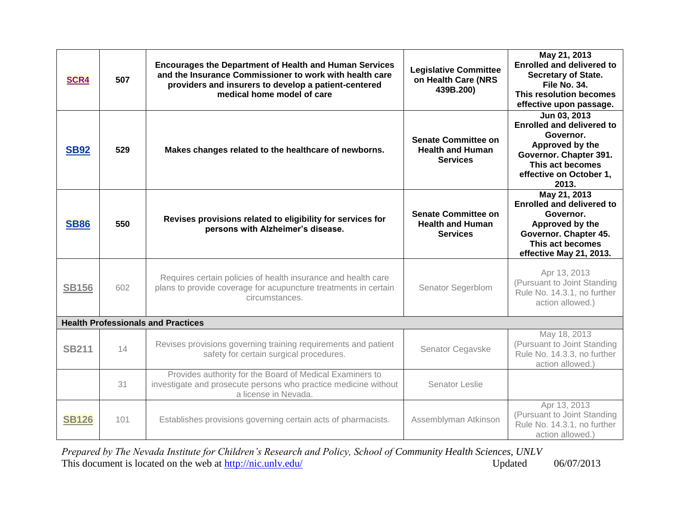| <b>SCR4</b>  | 507 | <b>Encourages the Department of Health and Human Services</b><br>and the Insurance Commissioner to work with health care<br>providers and insurers to develop a patient-centered<br>medical home model of care | <b>Legislative Committee</b><br>on Health Care (NRS<br>439B.200)         | May 21, 2013<br><b>Enrolled and delivered to</b><br><b>Secretary of State.</b><br>File No. 34.<br>This resolution becomes<br>effective upon passage.               |
|--------------|-----|----------------------------------------------------------------------------------------------------------------------------------------------------------------------------------------------------------------|--------------------------------------------------------------------------|--------------------------------------------------------------------------------------------------------------------------------------------------------------------|
| <b>SB92</b>  | 529 | Makes changes related to the healthcare of newborns.                                                                                                                                                           | <b>Senate Committee on</b><br><b>Health and Human</b><br><b>Services</b> | Jun 03, 2013<br><b>Enrolled and delivered to</b><br>Governor.<br>Approved by the<br>Governor. Chapter 391.<br>This act becomes<br>effective on October 1,<br>2013. |
| <b>SB86</b>  | 550 | Revises provisions related to eligibility for services for<br>persons with Alzheimer's disease.                                                                                                                | <b>Senate Committee on</b><br><b>Health and Human</b><br><b>Services</b> | May 21, 2013<br><b>Enrolled and delivered to</b><br>Governor.<br>Approved by the<br>Governor. Chapter 45.<br>This act becomes<br>effective May 21, 2013.           |
| <b>SB156</b> | 602 | Requires certain policies of health insurance and health care<br>plans to provide coverage for acupuncture treatments in certain<br>circumstances.                                                             | Senator Segerblom                                                        | Apr 13, 2013<br>(Pursuant to Joint Standing<br>Rule No. 14.3.1, no further<br>action allowed.)                                                                     |
|              |     | <b>Health Professionals and Practices</b>                                                                                                                                                                      |                                                                          |                                                                                                                                                                    |
| <b>SB211</b> | 14  | Revises provisions governing training requirements and patient<br>safety for certain surgical procedures.                                                                                                      | Senator Cegavske                                                         | May 18, 2013<br>(Pursuant to Joint Standing<br>Rule No. 14.3.3, no further<br>action allowed.)                                                                     |
|              | 31  | Provides authority for the Board of Medical Examiners to<br>investigate and prosecute persons who practice medicine without<br>a license in Nevada.                                                            | Senator Leslie                                                           |                                                                                                                                                                    |
| <b>SB126</b> | 101 | Establishes provisions governing certain acts of pharmacists.                                                                                                                                                  | Assemblyman Atkinson                                                     | Apr 13, 2013<br>(Pursuant to Joint Standing<br>Rule No. 14.3.1, no further<br>action allowed.)                                                                     |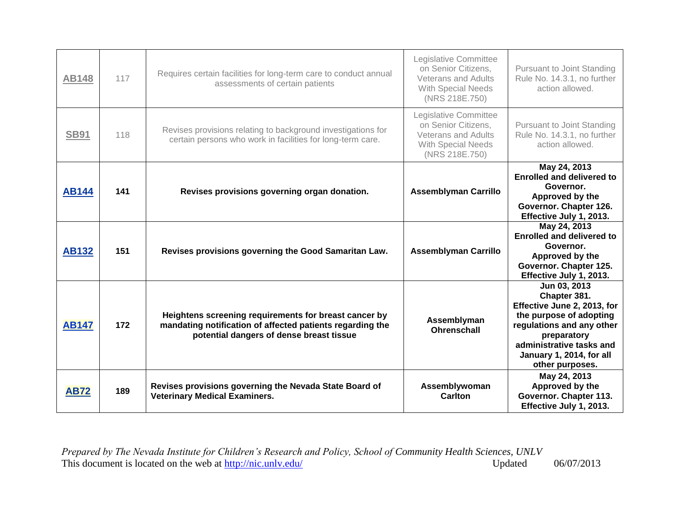| <b>AB148</b> | 117 | Requires certain facilities for long-term care to conduct annual<br>assessments of certain patients                                                            | Legislative Committee<br>on Senior Citizens.<br><b>Veterans and Adults</b><br>With Special Needs<br>(NRS 218E.750) | <b>Pursuant to Joint Standing</b><br>Rule No. 14.3.1, no further<br>action allowed.                                                                                                                           |
|--------------|-----|----------------------------------------------------------------------------------------------------------------------------------------------------------------|--------------------------------------------------------------------------------------------------------------------|---------------------------------------------------------------------------------------------------------------------------------------------------------------------------------------------------------------|
| <b>SB91</b>  | 118 | Revises provisions relating to background investigations for<br>certain persons who work in facilities for long-term care.                                     | Legislative Committee<br>on Senior Citizens,<br><b>Veterans and Adults</b><br>With Special Needs<br>(NRS 218E.750) | Pursuant to Joint Standing<br>Rule No. 14.3.1, no further<br>action allowed.                                                                                                                                  |
| <b>AB144</b> | 141 | Revises provisions governing organ donation.                                                                                                                   | <b>Assemblyman Carrillo</b>                                                                                        | May 24, 2013<br><b>Enrolled and delivered to</b><br>Governor.<br>Approved by the<br>Governor. Chapter 126.<br>Effective July 1, 2013.                                                                         |
| <b>AB132</b> | 151 | Revises provisions governing the Good Samaritan Law.                                                                                                           | <b>Assemblyman Carrillo</b>                                                                                        | May 24, 2013<br><b>Enrolled and delivered to</b><br>Governor.<br>Approved by the<br>Governor. Chapter 125.<br>Effective July 1, 2013.                                                                         |
| <b>AB147</b> | 172 | Heightens screening requirements for breast cancer by<br>mandating notification of affected patients regarding the<br>potential dangers of dense breast tissue | Assemblyman<br><b>Ohrenschall</b>                                                                                  | Jun 03, 2013<br>Chapter 381.<br>Effective June 2, 2013, for<br>the purpose of adopting<br>regulations and any other<br>preparatory<br>administrative tasks and<br>January 1, 2014, for all<br>other purposes. |
| <b>AB72</b>  | 189 | Revises provisions governing the Nevada State Board of<br><b>Veterinary Medical Examiners.</b>                                                                 | Assemblywoman<br><b>Carlton</b>                                                                                    | May 24, 2013<br>Approved by the<br>Governor. Chapter 113.<br>Effective July 1, 2013.                                                                                                                          |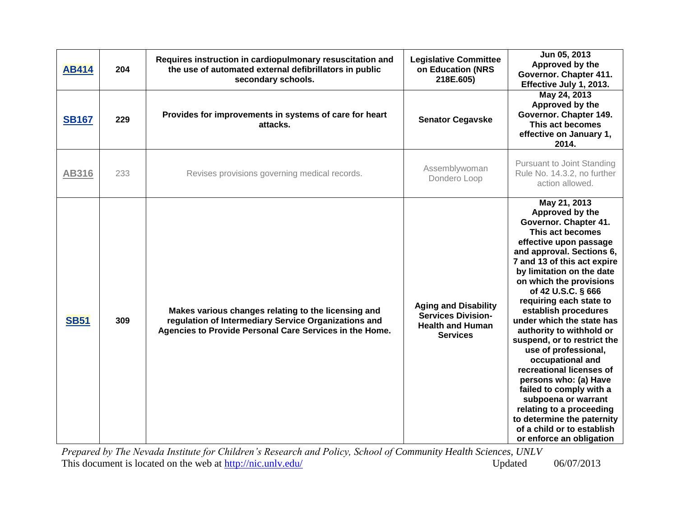| <b>AB414</b> | 204 | Requires instruction in cardiopulmonary resuscitation and<br>the use of automated external defibrillators in public<br>secondary schools.                              | <b>Legislative Committee</b><br>on Education (NRS<br>218E.605)                                         | Jun 05, 2013<br>Approved by the<br>Governor. Chapter 411.<br>Effective July 1, 2013.                                                                                                                                                                                                                                                                                                                                                                                                                                                                                                                                                                               |
|--------------|-----|------------------------------------------------------------------------------------------------------------------------------------------------------------------------|--------------------------------------------------------------------------------------------------------|--------------------------------------------------------------------------------------------------------------------------------------------------------------------------------------------------------------------------------------------------------------------------------------------------------------------------------------------------------------------------------------------------------------------------------------------------------------------------------------------------------------------------------------------------------------------------------------------------------------------------------------------------------------------|
| <b>SB167</b> | 229 | Provides for improvements in systems of care for heart<br>attacks.                                                                                                     | <b>Senator Cegavske</b>                                                                                | May 24, 2013<br>Approved by the<br>Governor. Chapter 149.<br>This act becomes<br>effective on January 1,<br>2014.                                                                                                                                                                                                                                                                                                                                                                                                                                                                                                                                                  |
| <b>AB316</b> | 233 | Revises provisions governing medical records.                                                                                                                          | Assemblywoman<br>Dondero Loop                                                                          | <b>Pursuant to Joint Standing</b><br>Rule No. 14.3.2, no further<br>action allowed.                                                                                                                                                                                                                                                                                                                                                                                                                                                                                                                                                                                |
| <b>SB51</b>  | 309 | Makes various changes relating to the licensing and<br>regulation of Intermediary Service Organizations and<br>Agencies to Provide Personal Care Services in the Home. | <b>Aging and Disability</b><br><b>Services Division-</b><br><b>Health and Human</b><br><b>Services</b> | May 21, 2013<br>Approved by the<br>Governor. Chapter 41.<br>This act becomes<br>effective upon passage<br>and approval. Sections 6,<br>7 and 13 of this act expire<br>by limitation on the date<br>on which the provisions<br>of 42 U.S.C. § 666<br>requiring each state to<br>establish procedures<br>under which the state has<br>authority to withhold or<br>suspend, or to restrict the<br>use of professional,<br>occupational and<br>recreational licenses of<br>persons who: (a) Have<br>failed to comply with a<br>subpoena or warrant<br>relating to a proceeding<br>to determine the paternity<br>of a child or to establish<br>or enforce an obligation |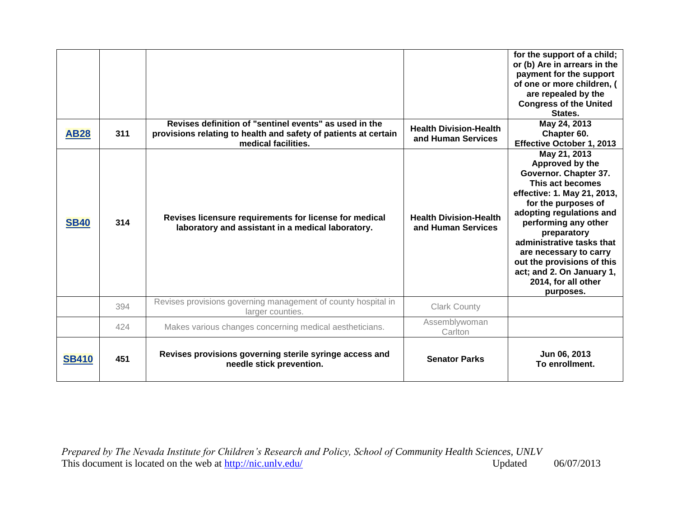| <b>AB28</b>  | 311 | Revises definition of "sentinel events" as used in the<br>provisions relating to health and safety of patients at certain<br>medical facilities. | <b>Health Division-Health</b><br>and Human Services | for the support of a child;<br>or (b) Are in arrears in the<br>payment for the support<br>of one or more children, (<br>are repealed by the<br><b>Congress of the United</b><br>States.<br>May 24, 2013<br>Chapter 60.<br>Effective October 1, 2013                                                                                                         |
|--------------|-----|--------------------------------------------------------------------------------------------------------------------------------------------------|-----------------------------------------------------|-------------------------------------------------------------------------------------------------------------------------------------------------------------------------------------------------------------------------------------------------------------------------------------------------------------------------------------------------------------|
| <b>SB40</b>  | 314 | Revises licensure requirements for license for medical<br>laboratory and assistant in a medical laboratory.                                      | <b>Health Division-Health</b><br>and Human Services | May 21, 2013<br>Approved by the<br>Governor. Chapter 37.<br>This act becomes<br>effective: 1. May 21, 2013,<br>for the purposes of<br>adopting regulations and<br>performing any other<br>preparatory<br>administrative tasks that<br>are necessary to carry<br>out the provisions of this<br>act; and 2. On January 1,<br>2014, for all other<br>purposes. |
|              | 394 | Revises provisions governing management of county hospital in<br>larger counties.                                                                | <b>Clark County</b>                                 |                                                                                                                                                                                                                                                                                                                                                             |
|              | 424 | Makes various changes concerning medical aestheticians.                                                                                          | Assemblywoman<br>Carlton                            |                                                                                                                                                                                                                                                                                                                                                             |
| <b>SB410</b> | 451 | Revises provisions governing sterile syringe access and<br>needle stick prevention.                                                              | <b>Senator Parks</b>                                | Jun 06, 2013<br>To enrollment.                                                                                                                                                                                                                                                                                                                              |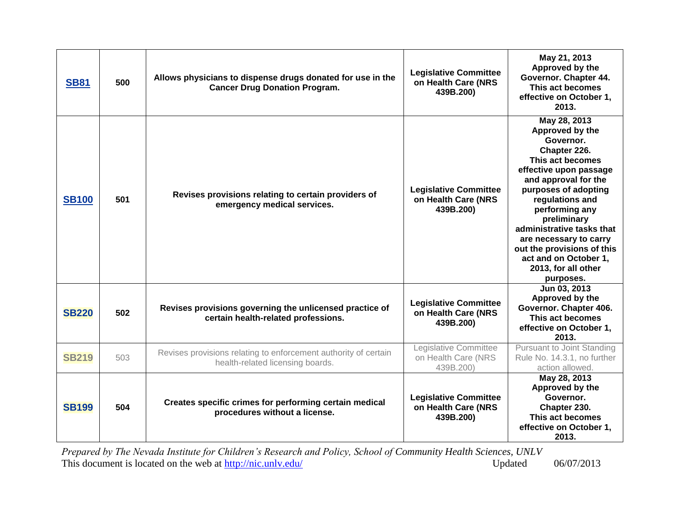| <b>SB81</b>  | 500 | Allows physicians to dispense drugs donated for use in the<br><b>Cancer Drug Donation Program.</b>  | <b>Legislative Committee</b><br>on Health Care (NRS<br>439B.200) | May 21, 2013<br>Approved by the<br>Governor. Chapter 44.<br>This act becomes<br>effective on October 1,<br>2013.                                                                                                                                                                                                                                                 |
|--------------|-----|-----------------------------------------------------------------------------------------------------|------------------------------------------------------------------|------------------------------------------------------------------------------------------------------------------------------------------------------------------------------------------------------------------------------------------------------------------------------------------------------------------------------------------------------------------|
| <b>SB100</b> | 501 | Revises provisions relating to certain providers of<br>emergency medical services.                  | <b>Legislative Committee</b><br>on Health Care (NRS<br>439B.200) | May 28, 2013<br>Approved by the<br>Governor.<br>Chapter 226.<br>This act becomes<br>effective upon passage<br>and approval for the<br>purposes of adopting<br>regulations and<br>performing any<br>preliminary<br>administrative tasks that<br>are necessary to carry<br>out the provisions of this<br>act and on October 1,<br>2013, for all other<br>purposes. |
| <b>SB220</b> | 502 | Revises provisions governing the unlicensed practice of<br>certain health-related professions.      | <b>Legislative Committee</b><br>on Health Care (NRS<br>439B.200) | Jun 03, 2013<br>Approved by the<br>Governor. Chapter 406.<br>This act becomes<br>effective on October 1,<br>2013.                                                                                                                                                                                                                                                |
| <b>SB219</b> | 503 | Revises provisions relating to enforcement authority of certain<br>health-related licensing boards. | Legislative Committee<br>on Health Care (NRS<br>439B.200)        | Pursuant to Joint Standing<br>Rule No. 14.3.1, no further<br>action allowed.                                                                                                                                                                                                                                                                                     |
| <b>SB199</b> | 504 | Creates specific crimes for performing certain medical<br>procedures without a license.             | <b>Legislative Committee</b><br>on Health Care (NRS<br>439B.200) | May 28, 2013<br>Approved by the<br>Governor.<br>Chapter 230.<br>This act becomes<br>effective on October 1,<br>2013.                                                                                                                                                                                                                                             |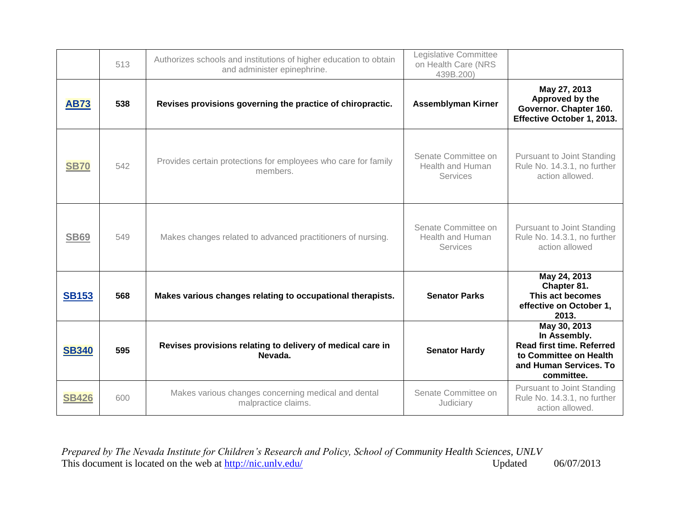|              | 513 | Authorizes schools and institutions of higher education to obtain<br>and administer epinephrine. | Legislative Committee<br>on Health Care (NRS<br>439B.200)         |                                                                                                                                    |
|--------------|-----|--------------------------------------------------------------------------------------------------|-------------------------------------------------------------------|------------------------------------------------------------------------------------------------------------------------------------|
| <b>AB73</b>  | 538 | Revises provisions governing the practice of chiropractic.                                       | <b>Assemblyman Kirner</b>                                         | May 27, 2013<br>Approved by the<br>Governor. Chapter 160.<br>Effective October 1, 2013.                                            |
| <b>SB70</b>  | 542 | Provides certain protections for employees who care for family<br>members.                       | Senate Committee on<br>Health and Human<br><b>Services</b>        | Pursuant to Joint Standing<br>Rule No. 14.3.1, no further<br>action allowed.                                                       |
| <b>SB69</b>  | 549 | Makes changes related to advanced practitioners of nursing.                                      | Senate Committee on<br><b>Health and Human</b><br><b>Services</b> | <b>Pursuant to Joint Standing</b><br>Rule No. 14.3.1, no further<br>action allowed                                                 |
| <b>SB153</b> | 568 | Makes various changes relating to occupational therapists.                                       | <b>Senator Parks</b>                                              | May 24, 2013<br>Chapter 81.<br>This act becomes<br>effective on October 1,<br>2013.                                                |
| <b>SB340</b> | 595 | Revises provisions relating to delivery of medical care in<br>Nevada.                            | <b>Senator Hardy</b>                                              | May 30, 2013<br>In Assembly.<br><b>Read first time. Referred</b><br>to Committee on Health<br>and Human Services. To<br>committee. |
| <b>SB426</b> | 600 | Makes various changes concerning medical and dental<br>malpractice claims.                       | Senate Committee on<br>Judiciary                                  | <b>Pursuant to Joint Standing</b><br>Rule No. 14.3.1, no further<br>action allowed.                                                |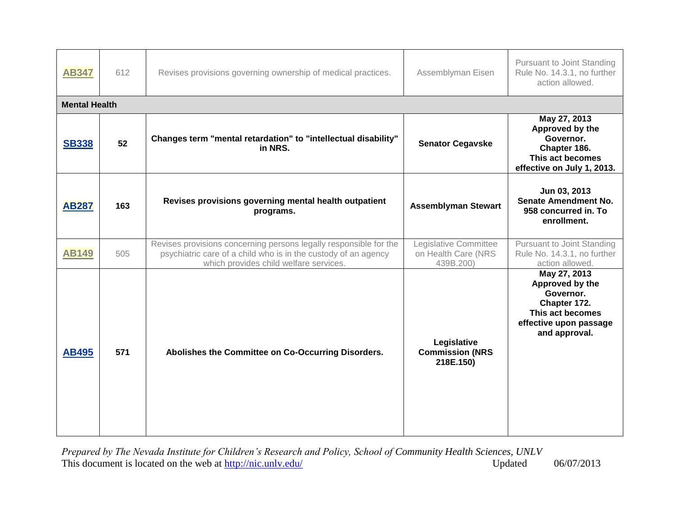| <b>AB347</b>         | 612 | Revises provisions governing ownership of medical practices.                                                                                                                  | Assemblyman Eisen                                         | Pursuant to Joint Standing<br>Rule No. 14.3.1, no further<br>action allowed.                                                |
|----------------------|-----|-------------------------------------------------------------------------------------------------------------------------------------------------------------------------------|-----------------------------------------------------------|-----------------------------------------------------------------------------------------------------------------------------|
| <b>Mental Health</b> |     |                                                                                                                                                                               |                                                           |                                                                                                                             |
| <b>SB338</b>         | 52  | Changes term "mental retardation" to "intellectual disability"<br>in NRS.                                                                                                     | <b>Senator Cegavske</b>                                   | May 27, 2013<br>Approved by the<br>Governor.<br>Chapter 186.<br>This act becomes<br>effective on July 1, 2013.              |
| <b>AB287</b>         | 163 | Revises provisions governing mental health outpatient<br>programs.                                                                                                            | <b>Assemblyman Stewart</b>                                | Jun 03, 2013<br><b>Senate Amendment No.</b><br>958 concurred in. To<br>enrollment.                                          |
| <b>AB149</b>         | 505 | Revises provisions concerning persons legally responsible for the<br>psychiatric care of a child who is in the custody of an agency<br>which provides child welfare services. | Legislative Committee<br>on Health Care (NRS<br>439B.200) | <b>Pursuant to Joint Standing</b><br>Rule No. 14.3.1, no further<br>action allowed.                                         |
| <b>AB495</b>         | 571 | Abolishes the Committee on Co-Occurring Disorders.                                                                                                                            | Legislative<br><b>Commission (NRS</b><br>218E.150)        | May 27, 2013<br>Approved by the<br>Governor.<br>Chapter 172.<br>This act becomes<br>effective upon passage<br>and approval. |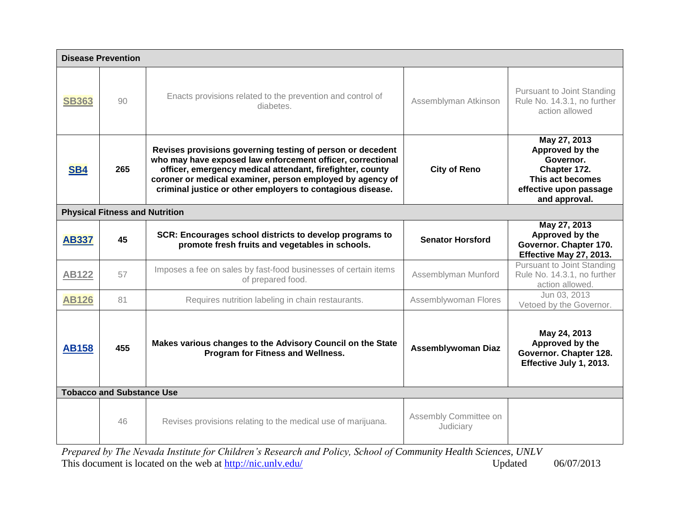|                                  | <b>Disease Prevention</b>             |                                                                                                                                                                                                                                                                                                                  |                                    |                                                                                                                             |  |
|----------------------------------|---------------------------------------|------------------------------------------------------------------------------------------------------------------------------------------------------------------------------------------------------------------------------------------------------------------------------------------------------------------|------------------------------------|-----------------------------------------------------------------------------------------------------------------------------|--|
| <b>SB363</b>                     | 90                                    | Enacts provisions related to the prevention and control of<br>diabetes.                                                                                                                                                                                                                                          | Assemblyman Atkinson               | Pursuant to Joint Standing<br>Rule No. 14.3.1, no further<br>action allowed                                                 |  |
| SB4                              | 265                                   | Revises provisions governing testing of person or decedent<br>who may have exposed law enforcement officer, correctional<br>officer, emergency medical attendant, firefighter, county<br>coroner or medical examiner, person employed by agency of<br>criminal justice or other employers to contagious disease. | <b>City of Reno</b>                | May 27, 2013<br>Approved by the<br>Governor.<br>Chapter 172.<br>This act becomes<br>effective upon passage<br>and approval. |  |
|                                  | <b>Physical Fitness and Nutrition</b> |                                                                                                                                                                                                                                                                                                                  |                                    |                                                                                                                             |  |
| <b>AB337</b>                     | 45                                    | SCR: Encourages school districts to develop programs to<br>promote fresh fruits and vegetables in schools.                                                                                                                                                                                                       | <b>Senator Horsford</b>            | May 27, 2013<br>Approved by the<br>Governor. Chapter 170.<br>Effective May 27, 2013.                                        |  |
| <b>AB122</b>                     | 57                                    | Imposes a fee on sales by fast-food businesses of certain items<br>of prepared food.                                                                                                                                                                                                                             | Assemblyman Munford                | Pursuant to Joint Standing<br>Rule No. 14.3.1, no further<br>action allowed.                                                |  |
| <b>AB126</b>                     | 81                                    | Requires nutrition labeling in chain restaurants.                                                                                                                                                                                                                                                                | Assemblywoman Flores               | Jun 03, 2013<br>Vetoed by the Governor.                                                                                     |  |
| <b>AB158</b>                     | 455                                   | Makes various changes to the Advisory Council on the State<br>Program for Fitness and Wellness.                                                                                                                                                                                                                  | <b>Assemblywoman Diaz</b>          | May 24, 2013<br>Approved by the<br>Governor. Chapter 128.<br>Effective July 1, 2013.                                        |  |
| <b>Tobacco and Substance Use</b> |                                       |                                                                                                                                                                                                                                                                                                                  |                                    |                                                                                                                             |  |
|                                  | 46                                    | Revises provisions relating to the medical use of marijuana.                                                                                                                                                                                                                                                     | Assembly Committee on<br>Judiciary |                                                                                                                             |  |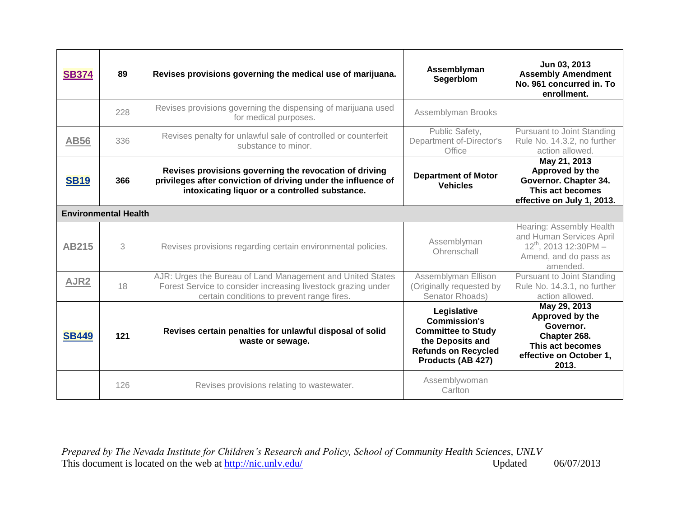| <b>SB374</b>     | 89                          | Revises provisions governing the medical use of marijuana.                                                                                                                | Assemblyman<br>Segerblom                                                                                                               | Jun 03, 2013<br><b>Assembly Amendment</b><br>No. 961 concurred in. To<br>enrollment.                                    |
|------------------|-----------------------------|---------------------------------------------------------------------------------------------------------------------------------------------------------------------------|----------------------------------------------------------------------------------------------------------------------------------------|-------------------------------------------------------------------------------------------------------------------------|
|                  | 228                         | Revises provisions governing the dispensing of marijuana used<br>for medical purposes.                                                                                    | Assemblyman Brooks                                                                                                                     |                                                                                                                         |
| <b>AB56</b>      | 336                         | Revises penalty for unlawful sale of controlled or counterfeit<br>substance to minor.                                                                                     | Public Safety,<br>Department of-Director's<br>Office                                                                                   | Pursuant to Joint Standing<br>Rule No. 14.3.2, no further<br>action allowed.                                            |
| <b>SB19</b>      | 366                         | Revises provisions governing the revocation of driving<br>privileges after conviction of driving under the influence of<br>intoxicating liquor or a controlled substance. | <b>Department of Motor</b><br><b>Vehicles</b>                                                                                          | May 21, 2013<br>Approved by the<br>Governor. Chapter 34.<br>This act becomes<br>effective on July 1, 2013.              |
|                  | <b>Environmental Health</b> |                                                                                                                                                                           |                                                                                                                                        |                                                                                                                         |
| <b>AB215</b>     | 3                           | Revises provisions regarding certain environmental policies.                                                                                                              | Assemblyman<br>Ohrenschall                                                                                                             | Hearing: Assembly Health<br>and Human Services April<br>$12^{th}$ , 2013 12:30PM -<br>Amend, and do pass as<br>amended. |
| AJR <sub>2</sub> | 18                          | AJR: Urges the Bureau of Land Management and United States<br>Forest Service to consider increasing livestock grazing under<br>certain conditions to prevent range fires. | Assemblyman Ellison<br>(Originally requested by<br>Senator Rhoads)                                                                     | Pursuant to Joint Standing<br>Rule No. 14.3.1, no further<br>action allowed.                                            |
| <b>SB449</b>     | $121$                       | Revises certain penalties for unlawful disposal of solid<br>waste or sewage.                                                                                              | Legislative<br><b>Commission's</b><br><b>Committee to Study</b><br>the Deposits and<br><b>Refunds on Recycled</b><br>Products (AB 427) | May 29, 2013<br>Approved by the<br>Governor.<br>Chapter 268.<br>This act becomes<br>effective on October 1,<br>2013.    |
|                  | 126                         | Revises provisions relating to wastewater.                                                                                                                                | Assemblywoman<br>Carlton                                                                                                               |                                                                                                                         |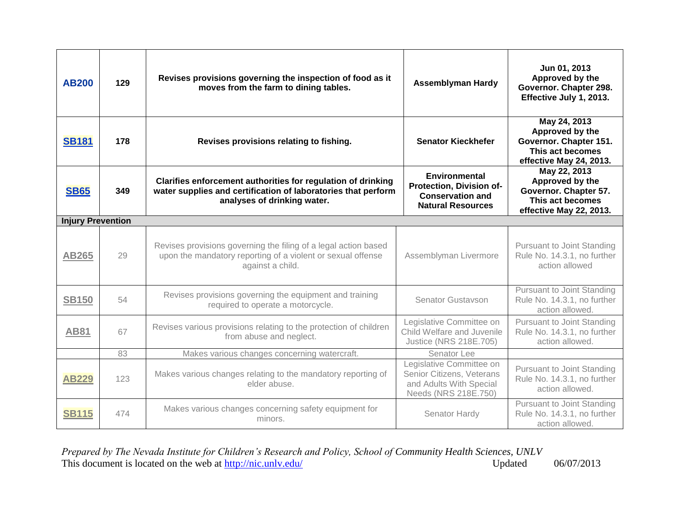| <b>AB200</b>             | 129 | Revises provisions governing the inspection of food as it<br>moves from the farm to dining tables.                                                           | <b>Assemblyman Hardy</b>                                                                                 | Jun 01, 2013<br>Approved by the<br>Governor. Chapter 298.<br>Effective July 1, 2013.                     |
|--------------------------|-----|--------------------------------------------------------------------------------------------------------------------------------------------------------------|----------------------------------------------------------------------------------------------------------|----------------------------------------------------------------------------------------------------------|
| <b>SB181</b>             | 178 | Revises provisions relating to fishing.                                                                                                                      | <b>Senator Kieckhefer</b>                                                                                | May 24, 2013<br>Approved by the<br>Governor. Chapter 151.<br>This act becomes<br>effective May 24, 2013. |
| <b>SB65</b>              | 349 | Clarifies enforcement authorities for regulation of drinking<br>water supplies and certification of laboratories that perform<br>analyses of drinking water. | <b>Environmental</b><br>Protection, Division of-<br><b>Conservation and</b><br><b>Natural Resources</b>  | May 22, 2013<br>Approved by the<br>Governor. Chapter 57.<br>This act becomes<br>effective May 22, 2013.  |
| <b>Injury Prevention</b> |     |                                                                                                                                                              |                                                                                                          |                                                                                                          |
| <b>AB265</b>             | 29  | Revises provisions governing the filing of a legal action based<br>upon the mandatory reporting of a violent or sexual offense<br>against a child.           | Assemblyman Livermore                                                                                    | <b>Pursuant to Joint Standing</b><br>Rule No. 14.3.1, no further<br>action allowed                       |
| <b>SB150</b>             | 54  | Revises provisions governing the equipment and training<br>required to operate a motorcycle.                                                                 | <b>Senator Gustavson</b>                                                                                 | Pursuant to Joint Standing<br>Rule No. 14.3.1, no further<br>action allowed.                             |
| <b>AB81</b>              | 67  | Revises various provisions relating to the protection of children<br>from abuse and neglect.                                                                 | Legislative Committee on<br>Child Welfare and Juvenile<br>Justice (NRS 218E.705)                         | Pursuant to Joint Standing<br>Rule No. 14.3.1, no further<br>action allowed.                             |
|                          | 83  | Makes various changes concerning watercraft.                                                                                                                 | Senator Lee                                                                                              |                                                                                                          |
| <b>AB229</b>             | 123 | Makes various changes relating to the mandatory reporting of<br>elder abuse.                                                                                 | Legislative Committee on<br>Senior Citizens, Veterans<br>and Adults With Special<br>Needs (NRS 218E.750) | <b>Pursuant to Joint Standing</b><br>Rule No. 14.3.1, no further<br>action allowed.                      |
| <b>SB115</b>             | 474 | Makes various changes concerning safety equipment for<br>minors.                                                                                             | Senator Hardy                                                                                            | Pursuant to Joint Standing<br>Rule No. 14.3.1, no further<br>action allowed.                             |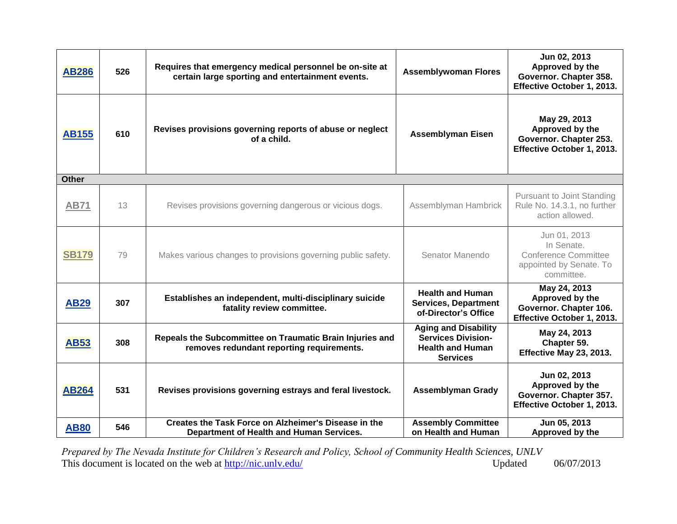| <b>AB286</b> | 526 | Requires that emergency medical personnel be on-site at<br>certain large sporting and entertainment events. | <b>Assemblywoman Flores</b>                                                                            | Jun 02, 2013<br>Approved by the<br>Governor. Chapter 358.<br>Effective October 1, 2013.            |
|--------------|-----|-------------------------------------------------------------------------------------------------------------|--------------------------------------------------------------------------------------------------------|----------------------------------------------------------------------------------------------------|
| <b>AB155</b> | 610 | Revises provisions governing reports of abuse or neglect<br>of a child.                                     | <b>Assemblyman Eisen</b>                                                                               | May 29, 2013<br>Approved by the<br>Governor. Chapter 253.<br>Effective October 1, 2013.            |
| <b>Other</b> |     |                                                                                                             |                                                                                                        |                                                                                                    |
| <b>AB71</b>  | 13  | Revises provisions governing dangerous or vicious dogs.                                                     | Assemblyman Hambrick                                                                                   | <b>Pursuant to Joint Standing</b><br>Rule No. 14.3.1, no further<br>action allowed.                |
| <b>SB179</b> | 79  | Makes various changes to provisions governing public safety.                                                | Senator Manendo                                                                                        | Jun 01, 2013<br>In Senate.<br><b>Conference Committee</b><br>appointed by Senate. To<br>committee. |
| <b>AB29</b>  | 307 | Establishes an independent, multi-disciplinary suicide<br>fatality review committee.                        | <b>Health and Human</b><br><b>Services, Department</b><br>of-Director's Office                         | May 24, 2013<br>Approved by the<br>Governor. Chapter 106.<br>Effective October 1, 2013.            |
| <b>AB53</b>  | 308 | Repeals the Subcommittee on Traumatic Brain Injuries and<br>removes redundant reporting requirements.       | <b>Aging and Disability</b><br><b>Services Division-</b><br><b>Health and Human</b><br><b>Services</b> | May 24, 2013<br>Chapter 59.<br>Effective May 23, 2013.                                             |
| <b>AB264</b> | 531 | Revises provisions governing estrays and feral livestock.                                                   | <b>Assemblyman Grady</b>                                                                               | Jun 02, 2013<br>Approved by the<br>Governor. Chapter 357.<br>Effective October 1, 2013.            |
| <b>AB80</b>  | 546 | Creates the Task Force on Alzheimer's Disease in the<br>Department of Health and Human Services.            | <b>Assembly Committee</b><br>on Health and Human                                                       | Jun 05, 2013<br>Approved by the                                                                    |